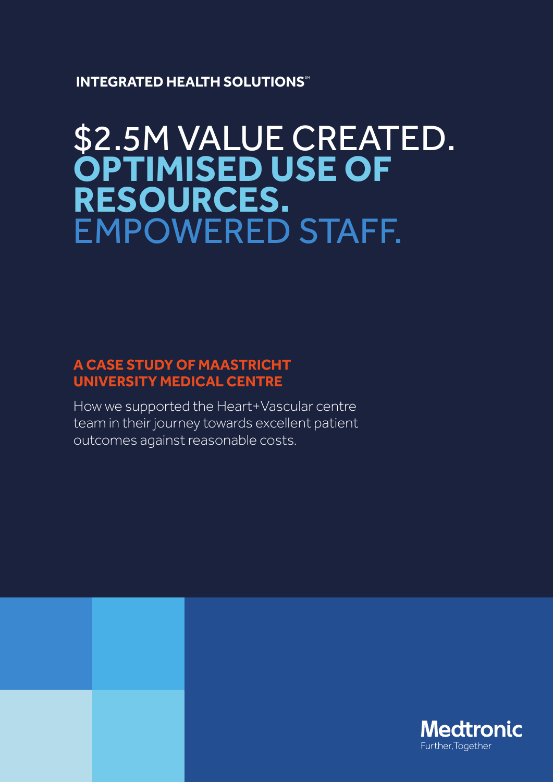### **INTEGRATED HEALTH SOLUTIONS**

## \$2.5M VALUE CREATED. **OPTIMISED USE OF RESOURCES.** EMPOWERED STAFF.

## **A CASE STUDY OF MAASTRICHT UNIVERSITY MEDICAL CENTRE**

How we supported the Heart+Vascular centre team in their journey towards excellent patient outcomes against reasonable costs.

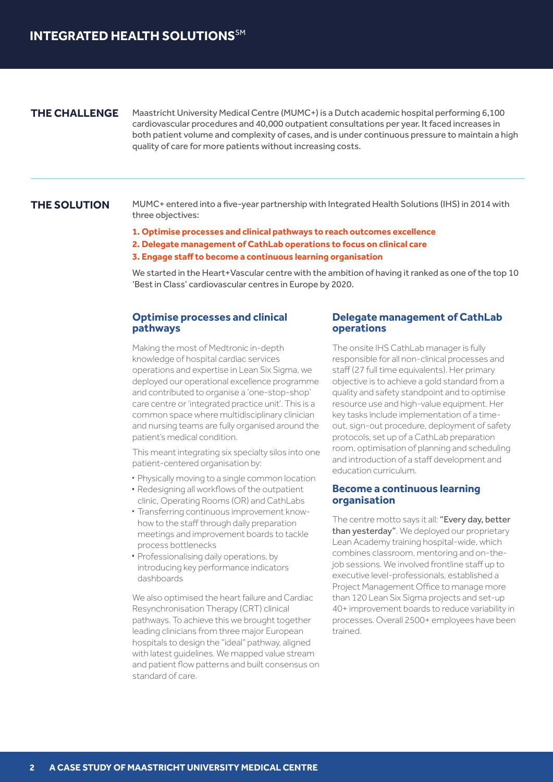#### **THE CHALLENGE**

Maastricht University Medical Centre (MUMC+) is a Dutch academic hospital performing 6,100 cardiovascular procedures and 40,000 outpatient consultations per year. It faced increases in both patient volume and complexity of cases, and is under continuous pressure to maintain a high quality of care for more patients without increasing costs.

#### **THE SOLUTION**

MUMC+ entered into a five-year partnership with Integrated Health Solutions (IHS) in 2014 with three objectives:

- **1. Optimise processes and clinical pathways to reach outcomes excellence**
- **2. Delegate management of CathLab operations to focus on clinical care**
- **3. Engage staff to become a continuous learning organisation**

We started in the Heart+Vascular centre with the ambition of having it ranked as one of the top 10 'Best in Class' cardiovascular centres in Europe by 2020.

#### **Optimise processes and clinical pathways**

Making the most of Medtronic in-depth knowledge of hospital cardiac services operations and expertise in Lean Six Sigma, we deployed our operational excellence programme and contributed to organise a 'one-stop-shop' care centre or 'integrated practice unit'. This is a common space where multidisciplinary clinician and nursing teams are fully organised around the patient's medical condition.

This meant integrating six specialty silos into one patient-centered organisation by:

- Physically moving to a single common location
- " Redesigning all workflows of the outpatient clinic, Operating Rooms (OR) and CathLabs
- Transferring continuous improvement knowhow to the staff through daily preparation meetings and improvement boards to tackle process bottlenecks
- **Professionalising daily operations, by** introducing key performance indicators dashboards

We also optimised the heart failure and Cardiac Resynchronisation Therapy (CRT) clinical pathways. To achieve this we brought together leading clinicians from three major European hospitals to design the "ideal" pathway, aligned with latest guidelines. We mapped value stream and patient flow patterns and built consensus on standard of care.

#### **Delegate management of CathLab operations**

The onsite IHS CathLab manager is fully responsible for all non-clinical processes and staff (27 full time equivalents). Her primary objective is to achieve a gold standard from a quality and safety standpoint and to optimise resource use and high-value equipment. Her key tasks include implementation of a timeout, sign-out procedure, deployment of safety protocols, set up of a CathLab preparation room, optimisation of planning and scheduling and introduction of a staff development and education curriculum.

#### **Become a continuous learning organisation**

The centre motto says it all: "Every day, better than yesterday". We deployed our proprietary Lean Academy training hospital-wide, which combines classroom, mentoring and on-thejob sessions. We involved frontline staff up to executive level-professionals, established a Project Management Office to manage more than 120 Lean Six Sigma projects and set-up 40+ improvement boards to reduce variability in processes. Overall 2500+ employees have been trained.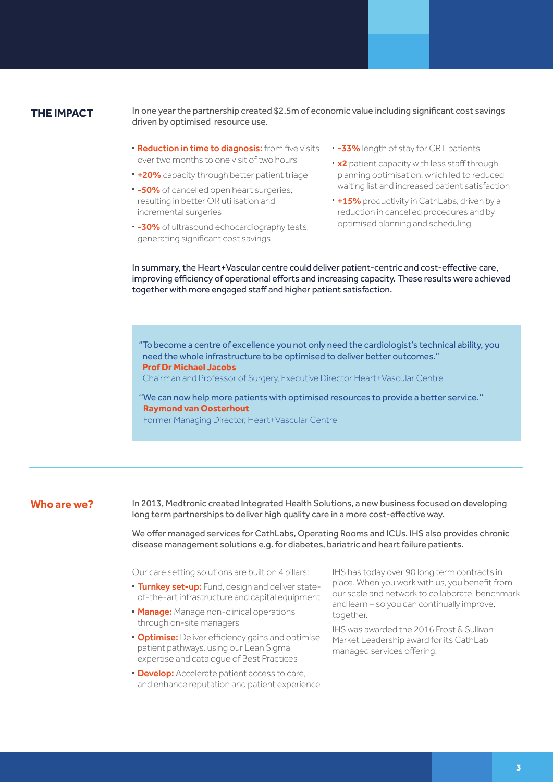#### **THE IMPACT**

In one year the partnership created \$2.5m of economic value including significant cost savings driven by optimised resource use.

- **Reduction in time to diagnosis:** from five visits over two months to one visit of two hours
- **+20%** capacity through better patient triage
- **-50%** of cancelled open heart surgeries, resulting in better OR utilisation and incremental surgeries
- **-30%** of ultrasound echocardiography tests, generating significant cost savings
- **-33%** length of stay for CRT patients
- **x2** patient capacity with less staff through planning optimisation, which led to reduced waiting list and increased patient satisfaction
- **+15%** productivity in CathLabs, driven by a reduction in cancelled procedures and by optimised planning and scheduling

In summary, the Heart+Vascular centre could deliver patient-centric and cost-effective care, improving efficiency of operational efforts and increasing capacity. These results were achieved together with more engaged staff and higher patient satisfaction.

"To become a centre of excellence you not only need the cardiologist's technical ability, you need the whole infrastructure to be optimised to deliver better outcomes." **Prof Dr Michael Jacobs**

Chairman and Professor of Surgery, Executive Director Heart+Vascular Centre

''We can now help more patients with optimised resources to provide a better service.'' **Raymond van Oosterhout**

Former Managing Director, Heart+Vascular Centre

#### **Who are we?**

In 2013, Medtronic created Integrated Health Solutions, a new business focused on developing long term partnerships to deliver high quality care in a more cost-effective way.

We offer managed services for CathLabs, Operating Rooms and ICUs. IHS also provides chronic disease management solutions e.g. for diabetes, bariatric and heart failure patients.

Our care setting solutions are built on 4 pillars:

- **Turnkey set-up:** Fund, design and deliver stateof-the-art infrastructure and capital equipment
- **Manage:** Manage non-clinical operations through on-site managers
- **Optimise:** Deliver efficiency gains and optimise patient pathways, using our Lean Sigma expertise and catalogue of Best Practices
- **Develop:** Accelerate patient access to care, and enhance reputation and patient experience

IHS has today over 90 long term contracts in place. When you work with us, you benefit from our scale and network to collaborate, benchmark and learn – so you can continually improve, together.

 $H.S$  was awarded the 2016 Frost & Sullivan Market Leadership award for its CathLab managed services offering.